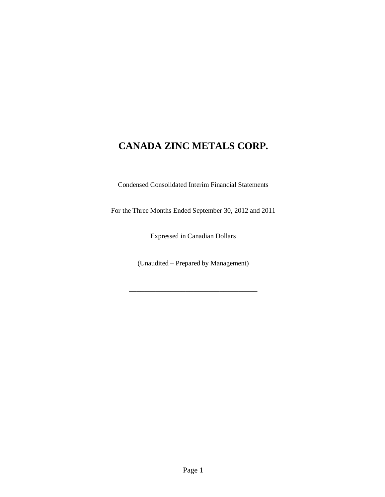Condensed Consolidated Interim Financial Statements

For the Three Months Ended September 30, 2012 and 2011

Expressed in Canadian Dollars

(Unaudited – Prepared by Management)

\_\_\_\_\_\_\_\_\_\_\_\_\_\_\_\_\_\_\_\_\_\_\_\_\_\_\_\_\_\_\_\_\_\_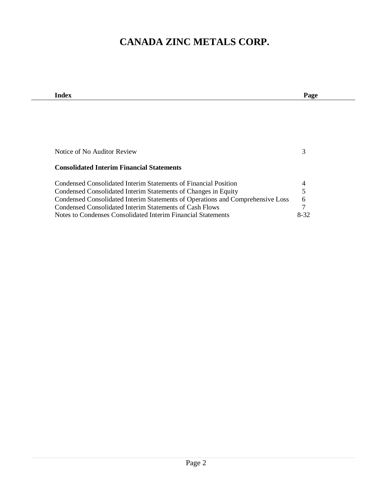| Index                                                                          | Page     |
|--------------------------------------------------------------------------------|----------|
|                                                                                |          |
|                                                                                |          |
|                                                                                |          |
|                                                                                |          |
|                                                                                |          |
|                                                                                |          |
| Notice of No Auditor Review                                                    | 3        |
|                                                                                |          |
| <b>Consolidated Interim Financial Statements</b>                               |          |
| Condensed Consolidated Interim Statements of Financial Position                | 4        |
| Condensed Consolidated Interim Statements of Changes in Equity                 | 5        |
| Condensed Consolidated Interim Statements of Operations and Comprehensive Loss | 6        |
| Condensed Consolidated Interim Statements of Cash Flows                        | 7        |
| Notes to Condenses Consolidated Interim Financial Statements                   | $8 - 32$ |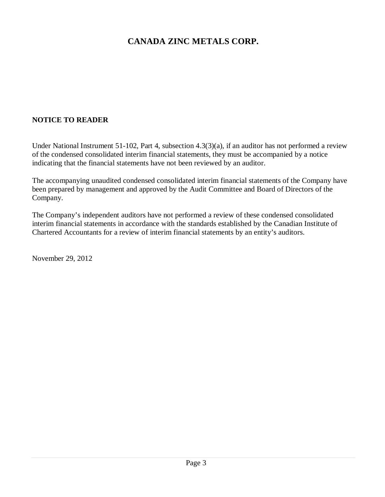## **NOTICE TO READER**

Under National Instrument 51-102, Part 4, subsection 4.3(3)(a), if an auditor has not performed a review of the condensed consolidated interim financial statements, they must be accompanied by a notice indicating that the financial statements have not been reviewed by an auditor.

The accompanying unaudited condensed consolidated interim financial statements of the Company have been prepared by management and approved by the Audit Committee and Board of Directors of the Company.

The Company's independent auditors have not performed a review of these condensed consolidated interim financial statements in accordance with the standards established by the Canadian Institute of Chartered Accountants for a review of interim financial statements by an entity's auditors.

November 29, 2012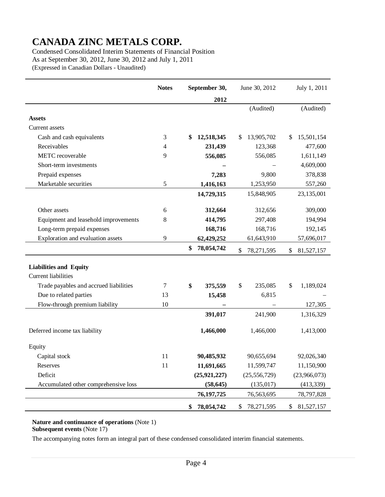Condensed Consolidated Interim Statements of Financial Position As at September 30, 2012, June 30, 2012 and July 1, 2011 (Expressed in Canadian Dollars - Unaudited)

|                                        | <b>Notes</b> | September 30,    | June 30, 2012    | July 1, 2011     |
|----------------------------------------|--------------|------------------|------------------|------------------|
|                                        |              | 2012             |                  |                  |
|                                        |              |                  | (Audited)        | (Audited)        |
| <b>Assets</b>                          |              |                  |                  |                  |
| Current assets                         |              |                  |                  |                  |
| Cash and cash equivalents              | 3            | 12,518,345<br>\$ | \$<br>13,905,702 | 15,501,154<br>\$ |
| Receivables                            | 4            | 231,439          | 123,368          | 477,600          |
| METC recoverable                       | 9            | 556,085          | 556,085          | 1,611,149        |
| Short-term investments                 |              |                  |                  | 4,609,000        |
| Prepaid expenses                       |              | 7,283            | 9,800            | 378,838          |
| Marketable securities                  | 5            | 1,416,163        | 1,253,950        | 557,260          |
|                                        |              | 14,729,315       | 15,848,905       | 23,135,001       |
|                                        |              |                  |                  |                  |
| Other assets                           | 6            | 312,664          | 312,656          | 309,000          |
| Equipment and leasehold improvements   | $\,8\,$      | 414,795          | 297,408          | 194,994          |
| Long-term prepaid expenses             |              | 168,716          | 168,716          | 192,145          |
| Exploration and evaluation assets      | 9            | 62,429,252       | 61,643,910       | 57,696,017       |
|                                        |              | 78,054,742<br>\$ | \$<br>78,271,595 | \$<br>81,527,157 |
| <b>Liabilities and Equity</b>          |              |                  |                  |                  |
| <b>Current liabilities</b>             |              |                  |                  |                  |
| Trade payables and accrued liabilities | 7            | \$<br>375,559    | \$<br>235,085    | 1,189,024<br>\$  |
| Due to related parties                 | 13           | 15,458           | 6,815            |                  |
| Flow-through premium liability         | 10           |                  |                  | 127,305          |
|                                        |              | 391,017          | 241,900          | 1,316,329        |
|                                        |              |                  |                  |                  |
| Deferred income tax liability          |              | 1,466,000        | 1,466,000        | 1,413,000        |
| Equity                                 |              |                  |                  |                  |
| Capital stock                          | 11           | 90,485,932       | 90,655,694       | 92,026,340       |
| Reserves                               | 11           | 11,691,665       | 11,599,747       | 11,150,900       |
| Deficit                                |              | (25, 921, 227)   | (25, 556, 729)   | (23,966,073)     |
| Accumulated other comprehensive loss   |              | (58, 645)        | (135, 017)       | (413, 339)       |
|                                        |              | 76, 197, 725     | 76,563,695       | 78,797,828       |
|                                        |              | 78,054,742<br>\$ | 78,271,595<br>\$ | \$<br>81,527,157 |

**Nature and continuance of operations** (Note 1) **Subsequent events** (Note 17)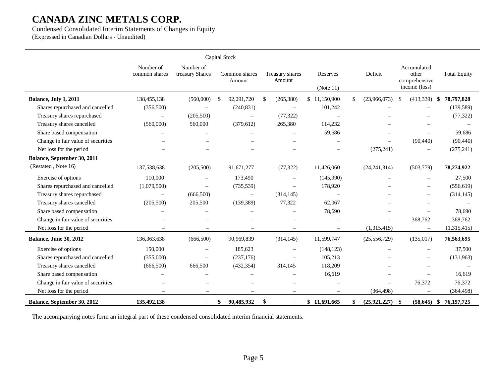Condensed Consolidated Interim Statements of Changes in Equity (Expressed in Canadian Dollars - Unaudited)

|                                    |                            |                              | Capital Stock           |                                |                          |                      |                                                        |                     |
|------------------------------------|----------------------------|------------------------------|-------------------------|--------------------------------|--------------------------|----------------------|--------------------------------------------------------|---------------------|
|                                    | Number of<br>common shares | Number of<br>treasury Shares | Common shares<br>Amount | Treasury shares<br>Amount      | Reserves<br>(Note 11)    | Deficit              | Accumulated<br>other<br>comprehensive<br>income (loss) | <b>Total Equity</b> |
| Balance, July 1, 2011              | 138,455,138                | (560,000)                    | 92,291,720<br>\$.       | \$.<br>(265,380)               | \$11,150,900             | \$<br>(23,966,073)   | (413,339)<br>-\$                                       | 78,797,828<br>-\$   |
| Shares repurchased and cancelled   | (356, 500)                 |                              | (240, 831)              | $\overline{\phantom{m}}$       | 101,242                  |                      |                                                        | (139, 589)          |
| Treasury shares repurchased        |                            | (205,500)                    | $\equiv$                | (77, 322)                      |                          |                      |                                                        | (77, 322)           |
| Treasury shares cancelled          | (560,000)                  | 560,000                      | (379, 612)              | 265,380                        | 114,232                  |                      |                                                        |                     |
| Share based compensation           |                            |                              |                         |                                | 59,686                   |                      | $\overline{\phantom{m}}$                               | 59,686              |
| Change in fair value of securities |                            |                              |                         |                                | $\sim$                   |                      | (90, 440)                                              | (90, 440)           |
| Net loss for the period            | $\overline{\phantom{a}}$   | $\equiv$                     | $\equiv$                | $\equiv$                       | $\sim$                   | (275, 241)           | $\overline{\phantom{m}}$                               | (275, 241)          |
| Balance, September 30, 2011        |                            |                              |                         |                                |                          |                      |                                                        |                     |
| (Restated, Note 16)                | 137,538,638                | (205,500)                    | 91,671,277              | (77, 322)                      | 11,426,060               | (24, 241, 314)       | (503, 779)                                             | 78,274,922          |
| Exercise of options                | 110,000                    |                              | 173,490                 |                                | (145,990)                |                      |                                                        | 27,500              |
| Shares repurchased and cancelled   | (1,079,500)                |                              | (735, 539)              | $\overline{\phantom{m}}$       | 178,920                  |                      |                                                        | (556, 619)          |
| Treasury shares repurchased        | $\overline{\phantom{0}}$   | (666, 500)                   | $\qquad \qquad -$       | (314, 145)                     | $\overline{\phantom{m}}$ |                      | $\overline{\phantom{0}}$                               | (314, 145)          |
| Treasury shares cancelled          | (205, 500)                 | 205,500                      | (139, 389)              | 77,322                         | 62,067                   |                      |                                                        |                     |
| Share based compensation           |                            |                              |                         |                                | 78,690                   |                      |                                                        | 78,690              |
| Change in fair value of securities |                            |                              |                         |                                |                          |                      | 368,762                                                | 368,762             |
| Net loss for the period            |                            |                              |                         | $\equiv$                       | $\qquad \qquad -$        | (1,315,415)          | $\overline{\phantom{m}}$                               | (1,315,415)         |
| <b>Balance, June 30, 2012</b>      | 136, 363, 638              | (666, 500)                   | 90,969,839              | (314, 145)                     | 11,599,747               | (25, 556, 729)       | (135, 017)                                             | 76,563,695          |
| Exercise of options                | 150,000                    |                              | 185,623                 | $\overline{\phantom{m}}$       | (148, 123)               |                      |                                                        | 37,500              |
| Shares repurchased and cancelled   | (355,000)                  |                              | (237, 176)              |                                | 105,213                  |                      |                                                        | (131,963)           |
| Treasury shares cancelled          | (666, 500)                 | 666,500                      | (432, 354)              | 314,145                        | 118,209                  |                      |                                                        |                     |
| Share based compensation           |                            |                              |                         |                                | 16,619                   |                      |                                                        | 16,619              |
| Change in fair value of securities |                            |                              |                         |                                |                          |                      | 76,372                                                 | 76,372              |
| Net loss for the period            | $\overline{\phantom{a}}$   | $\overline{\phantom{a}}$     |                         | $\overline{\phantom{m}}$       | $\overline{\phantom{m}}$ | (364, 498)           |                                                        | (364, 498)          |
| Balance, September 30, 2012        | 135,492,138                | $-$                          | 90,485,932<br>\$        | \$<br>$\overline{\phantom{m}}$ | \$11,691,665             | (25, 921, 227)<br>\$ | -\$<br>(58, 645)                                       | 76, 197, 725<br>-\$ |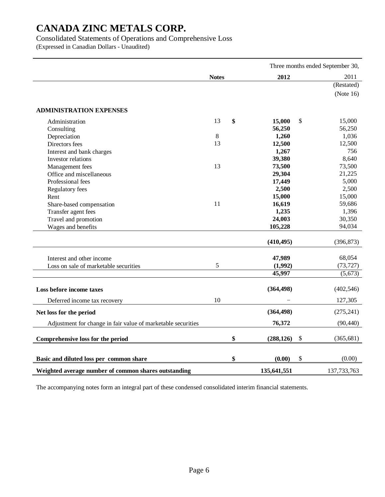Consolidated Statements of Operations and Comprehensive Loss

(Expressed in Canadian Dollars - Unaudited)

|                                                              |              |    | Three months ended September 30, |    |               |
|--------------------------------------------------------------|--------------|----|----------------------------------|----|---------------|
|                                                              | <b>Notes</b> |    | 2012                             |    | 2011          |
|                                                              |              |    |                                  |    | (Restated)    |
|                                                              |              |    |                                  |    | (Note $16$ )  |
|                                                              |              |    |                                  |    |               |
| <b>ADMINISTRATION EXPENSES</b>                               |              |    |                                  |    |               |
| Administration                                               | 13           | \$ | 15,000                           | \$ | 15,000        |
| Consulting                                                   |              |    | 56,250                           |    | 56,250        |
| Depreciation                                                 | $\,8\,$      |    | 1,260                            |    | 1,036         |
| Directors fees                                               | 13           |    | 12,500                           |    | 12,500        |
| Interest and bank charges                                    |              |    | 1,267                            |    | 756           |
| Investor relations                                           |              |    | 39,380                           |    | 8,640         |
| Management fees                                              | 13           |    | 73,500                           |    | 73,500        |
| Office and miscellaneous                                     |              |    | 29,304                           |    | 21,225        |
| Professional fees                                            |              |    | 17,449                           |    | 5,000         |
| Regulatory fees                                              |              |    | 2,500                            |    | 2,500         |
| Rent                                                         |              |    | 15,000                           |    | 15,000        |
| Share-based compensation                                     | 11           |    | 16,619                           |    | 59,686        |
| Transfer agent fees                                          |              |    | 1,235                            |    | 1,396         |
| Travel and promotion                                         |              |    | 24,003                           |    | 30,350        |
| Wages and benefits                                           |              |    | 105,228                          |    | 94,034        |
|                                                              |              |    |                                  |    |               |
|                                                              |              |    | (410, 495)                       |    | (396, 873)    |
| Interest and other income                                    |              |    | 47,989                           |    | 68,054        |
| Loss on sale of marketable securities                        | 5            |    | (1,992)                          |    | (73, 727)     |
|                                                              |              |    | 45,997                           |    | (5, 673)      |
|                                                              |              |    |                                  |    |               |
| Loss before income taxes                                     |              |    | (364, 498)                       |    | (402, 546)    |
| Deferred income tax recovery                                 | 10           |    |                                  |    | 127,305       |
| Net loss for the period                                      |              |    | (364, 498)                       |    | (275, 241)    |
| Adjustment for change in fair value of marketable securities |              |    | 76,372                           |    | (90, 440)     |
| Comprehensive loss for the period                            |              | \$ | (288, 126)                       | \$ | (365, 681)    |
|                                                              |              |    |                                  |    |               |
|                                                              |              |    |                                  |    |               |
| Basic and diluted loss per common share                      |              | \$ | (0.00)                           | \$ | (0.00)        |
| Weighted average number of common shares outstanding         |              |    | 135,641,551                      |    | 137, 733, 763 |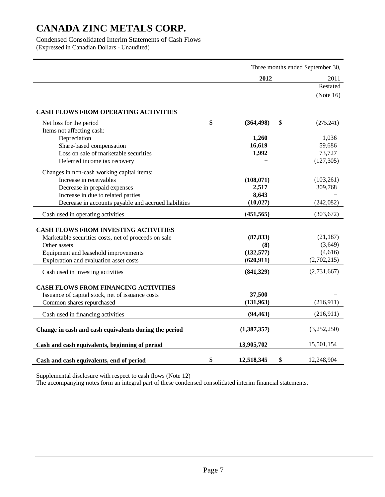Condensed Consolidated Interim Statements of Cash Flows (Expressed in Canadian Dollars - Unaudited)

|                                                       | Three months ended September 30, |             |  |  |
|-------------------------------------------------------|----------------------------------|-------------|--|--|
|                                                       | 2012                             | 2011        |  |  |
|                                                       |                                  | Restated    |  |  |
|                                                       |                                  | (Note 16)   |  |  |
|                                                       |                                  |             |  |  |
| <b>CASH FLOWS FROM OPERATING ACTIVITIES</b>           |                                  |             |  |  |
| Net loss for the period                               | \$<br>\$<br>(364, 498)           | (275, 241)  |  |  |
| Items not affecting cash:                             |                                  |             |  |  |
| Depreciation                                          | 1,260                            | 1,036       |  |  |
| Share-based compensation                              | 16,619                           | 59,686      |  |  |
| Loss on sale of marketable securities                 | 1,992                            | 73,727      |  |  |
| Deferred income tax recovery                          |                                  | (127, 305)  |  |  |
| Changes in non-cash working capital items:            |                                  |             |  |  |
| Increase in receivables                               | (108,071)                        | (103,261)   |  |  |
| Decrease in prepaid expenses                          | 2,517                            | 309,768     |  |  |
| Increase in due to related parties                    | 8,643                            |             |  |  |
| Decrease in accounts payable and accrued liabilities  | (10, 027)                        | (242,082)   |  |  |
|                                                       | (451, 565)                       | (303, 672)  |  |  |
| Cash used in operating activities                     |                                  |             |  |  |
| <b>CASH FLOWS FROM INVESTING ACTIVITIES</b>           |                                  |             |  |  |
| Marketable securities costs, net of proceeds on sale  | (87, 833)                        | (21, 187)   |  |  |
| Other assets                                          | (8)                              | (3,649)     |  |  |
| Equipment and leasehold improvements                  | (132, 577)                       | (4,616)     |  |  |
| Exploration and evaluation asset costs                | (620, 911)                       | (2,702,215) |  |  |
|                                                       | (841, 329)                       | (2,731,667) |  |  |
| Cash used in investing activities                     |                                  |             |  |  |
| <b>CASH FLOWS FROM FINANCING ACTIVITIES</b>           |                                  |             |  |  |
| Issuance of capital stock, net of issuance costs      | 37,500                           |             |  |  |
| Common shares repurchased                             | (131, 963)                       | (216,911)   |  |  |
|                                                       | (94, 463)                        | (216,911)   |  |  |
| Cash used in financing activities                     |                                  |             |  |  |
| Change in cash and cash equivalents during the period | (1, 387, 357)                    | (3,252,250) |  |  |
|                                                       |                                  |             |  |  |
| Cash and cash equivalents, beginning of period        | 13,905,702                       | 15,501,154  |  |  |
| Cash and cash equivalents, end of period              | \$<br>\$<br>12,518,345           | 12,248,904  |  |  |

Supplemental disclosure with respect to cash flows (Note 12)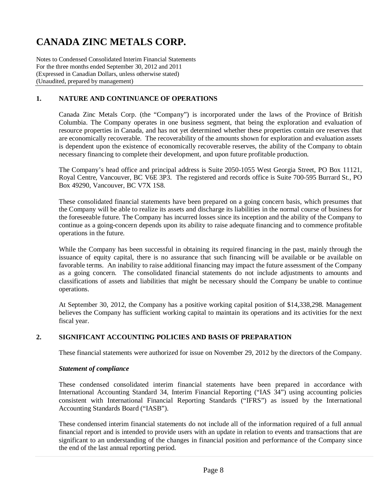Notes to Condensed Consolidated Interim Financial Statements For the three months ended September 30, 2012 and 2011 (Expressed in Canadian Dollars, unless otherwise stated) (Unaudited, prepared by management)

## **1. NATURE AND CONTINUANCE OF OPERATIONS**

Canada Zinc Metals Corp. (the "Company") is incorporated under the laws of the Province of British Columbia. The Company operates in one business segment, that being the exploration and evaluation of resource properties in Canada, and has not yet determined whether these properties contain ore reserves that are economically recoverable. The recoverability of the amounts shown for exploration and evaluation assets is dependent upon the existence of economically recoverable reserves, the ability of the Company to obtain necessary financing to complete their development, and upon future profitable production.

The Company's head office and principal address is Suite 2050-1055 West Georgia Street, PO Box 11121, Royal Centre, Vancouver, BC V6E 3P3. The registered and records office is Suite 700-595 Burrard St., PO Box 49290, Vancouver, BC V7X 1S8.

These consolidated financial statements have been prepared on a going concern basis, which presumes that the Company will be able to realize its assets and discharge its liabilities in the normal course of business for the foreseeable future. The Company has incurred losses since its inception and the ability of the Company to continue as a going-concern depends upon its ability to raise adequate financing and to commence profitable operations in the future.

While the Company has been successful in obtaining its required financing in the past, mainly through the issuance of equity capital, there is no assurance that such financing will be available or be available on favorable terms. An inability to raise additional financing may impact the future assessment of the Company as a going concern. The consolidated financial statements do not include adjustments to amounts and classifications of assets and liabilities that might be necessary should the Company be unable to continue operations.

At September 30, 2012, the Company has a positive working capital position of \$14,338,298. Management believes the Company has sufficient working capital to maintain its operations and its activities for the next fiscal year.

### **2. SIGNIFICANT ACCOUNTING POLICIES AND BASIS OF PREPARATION**

These financial statements were authorized for issue on November 29, 2012 by the directors of the Company.

#### *Statement of compliance*

These condensed consolidated interim financial statements have been prepared in accordance with International Accounting Standard 34, Interim Financial Reporting ("IAS 34") using accounting policies consistent with International Financial Reporting Standards ("IFRS") as issued by the International Accounting Standards Board ("IASB").

These condensed interim financial statements do not include all of the information required of a full annual financial report and is intended to provide users with an update in relation to events and transactions that are significant to an understanding of the changes in financial position and performance of the Company since the end of the last annual reporting period.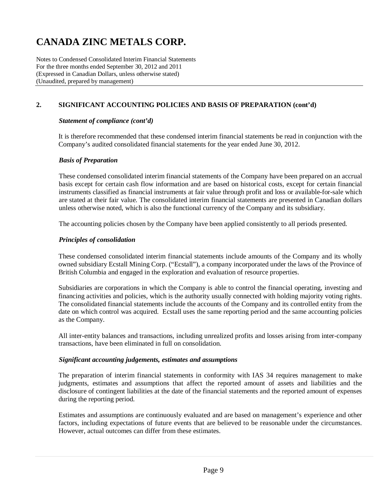Notes to Condensed Consolidated Interim Financial Statements For the three months ended September 30, 2012 and 2011 (Expressed in Canadian Dollars, unless otherwise stated) (Unaudited, prepared by management)

## **2. SIGNIFICANT ACCOUNTING POLICIES AND BASIS OF PREPARATION (cont'd)**

### *Statement of compliance (cont'd)*

It is therefore recommended that these condensed interim financial statements be read in conjunction with the Company's audited consolidated financial statements for the year ended June 30, 2012.

#### *Basis of Preparation*

These condensed consolidated interim financial statements of the Company have been prepared on an accrual basis except for certain cash flow information and are based on historical costs, except for certain financial instruments classified as financial instruments at fair value through profit and loss or available-for-sale which are stated at their fair value. The consolidated interim financial statements are presented in Canadian dollars unless otherwise noted, which is also the functional currency of the Company and its subsidiary.

The accounting policies chosen by the Company have been applied consistently to all periods presented.

### *Principles of consolidation*

These condensed consolidated interim financial statements include amounts of the Company and its wholly owned subsidiary Ecstall Mining Corp. ("Ecstall"), a company incorporated under the laws of the Province of British Columbia and engaged in the exploration and evaluation of resource properties.

Subsidiaries are corporations in which the Company is able to control the financial operating, investing and financing activities and policies, which is the authority usually connected with holding majority voting rights. The consolidated financial statements include the accounts of the Company and its controlled entity from the date on which control was acquired. Ecstall uses the same reporting period and the same accounting policies as the Company.

All inter-entity balances and transactions, including unrealized profits and losses arising from inter-company transactions, have been eliminated in full on consolidation.

#### *Significant accounting judgements, estimates and assumptions*

The preparation of interim financial statements in conformity with IAS 34 requires management to make judgments, estimates and assumptions that affect the reported amount of assets and liabilities and the disclosure of contingent liabilities at the date of the financial statements and the reported amount of expenses during the reporting period.

Estimates and assumptions are continuously evaluated and are based on management's experience and other factors, including expectations of future events that are believed to be reasonable under the circumstances. However, actual outcomes can differ from these estimates.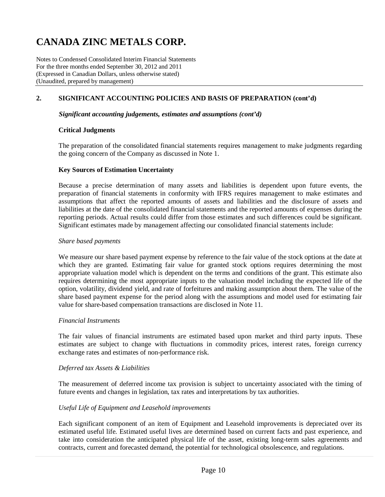Notes to Condensed Consolidated Interim Financial Statements For the three months ended September 30, 2012 and 2011 (Expressed in Canadian Dollars, unless otherwise stated) (Unaudited, prepared by management)

## **2. SIGNIFICANT ACCOUNTING POLICIES AND BASIS OF PREPARATION (cont'd)**

#### *Significant accounting judgements, estimates and assumptions (cont'd)*

#### **Critical Judgments**

The preparation of the consolidated financial statements requires management to make judgments regarding the going concern of the Company as discussed in Note 1.

#### **Key Sources of Estimation Uncertainty**

Because a precise determination of many assets and liabilities is dependent upon future events, the preparation of financial statements in conformity with IFRS requires management to make estimates and assumptions that affect the reported amounts of assets and liabilities and the disclosure of assets and liabilities at the date of the consolidated financial statements and the reported amounts of expenses during the reporting periods. Actual results could differ from those estimates and such differences could be significant. Significant estimates made by management affecting our consolidated financial statements include:

#### *Share based payments*

We measure our share based payment expense by reference to the fair value of the stock options at the date at which they are granted. Estimating fair value for granted stock options requires determining the most appropriate valuation model which is dependent on the terms and conditions of the grant. This estimate also requires determining the most appropriate inputs to the valuation model including the expected life of the option, volatility, dividend yield, and rate of forfeitures and making assumption about them. The value of the share based payment expense for the period along with the assumptions and model used for estimating fair value for share-based compensation transactions are disclosed in Note 11.

#### *Financial Instruments*

The fair values of financial instruments are estimated based upon market and third party inputs. These estimates are subject to change with fluctuations in commodity prices, interest rates, foreign currency exchange rates and estimates of non-performance risk.

#### *Deferred tax Assets & Liabilities*

The measurement of deferred income tax provision is subject to uncertainty associated with the timing of future events and changes in legislation, tax rates and interpretations by tax authorities.

#### *Useful Life of Equipment and Leasehold improvements*

Each significant component of an item of Equipment and Leasehold improvements is depreciated over its estimated useful life. Estimated useful lives are determined based on current facts and past experience, and take into consideration the anticipated physical life of the asset, existing long-term sales agreements and contracts, current and forecasted demand, the potential for technological obsolescence, and regulations.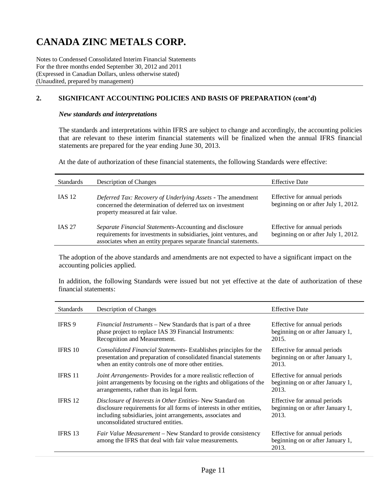Notes to Condensed Consolidated Interim Financial Statements For the three months ended September 30, 2012 and 2011 (Expressed in Canadian Dollars, unless otherwise stated) (Unaudited, prepared by management)

## **2. SIGNIFICANT ACCOUNTING POLICIES AND BASIS OF PREPARATION (cont'd)**

#### *New standards and interpretations*

The standards and interpretations within IFRS are subject to change and accordingly, the accounting policies that are relevant to these interim financial statements will be finalized when the annual IFRS financial statements are prepared for the year ending June 30, 2013.

At the date of authorization of these financial statements, the following Standards were effective:

| <b>Standards</b> | Description of Changes                                                                                                                                                                            | <b>Effective Date</b>                                               |
|------------------|---------------------------------------------------------------------------------------------------------------------------------------------------------------------------------------------------|---------------------------------------------------------------------|
| <b>IAS 12</b>    | Deferred Tax: Recovery of Underlying Assets - The amendment<br>concerned the determination of deferred tax on investment<br>property measured at fair value.                                      | Effective for annual periods<br>beginning on or after July 1, 2012. |
| <b>IAS 27</b>    | Separate Financial Statements-Accounting and disclosure<br>requirements for investments in subsidiaries, joint ventures, and<br>associates when an entity prepares separate financial statements. | Effective for annual periods<br>beginning on or after July 1, 2012. |

The adoption of the above standards and amendments are not expected to have a significant impact on the accounting policies applied.

In addition, the following Standards were issued but not yet effective at the date of authorization of these financial statements:

| <b>Standards</b> | Description of Changes                                                                                                                                                                                                                   | <b>Effective Date</b>                                                     |
|------------------|------------------------------------------------------------------------------------------------------------------------------------------------------------------------------------------------------------------------------------------|---------------------------------------------------------------------------|
| IFRS 9           | Financial Instruments – New Standards that is part of a three<br>phase project to replace IAS 39 Financial Instruments:<br>Recognition and Measurement.                                                                                  | Effective for annual periods<br>beginning on or after January 1,<br>2015. |
| <b>IFRS 10</b>   | Consolidated Financial Statements- Establishes principles for the<br>presentation and preparation of consolidated financial statements<br>when an entity controls one of more other entities.                                            | Effective for annual periods<br>beginning on or after January 1,<br>2013. |
| <b>IFRS 11</b>   | <i>Joint Arrangements-Provides for a more realistic reflection of</i><br>joint arrangements by focusing on the rights and obligations of the<br>arrangements, rather than its legal form.                                                | Effective for annual periods<br>beginning on or after January 1,<br>2013. |
| IFRS 12          | Disclosure of Interests in Other Entities- New Standard on<br>disclosure requirements for all forms of interests in other entities,<br>including subsidiaries, joint arrangements, associates and<br>unconsolidated structured entities. | Effective for annual periods<br>beginning on or after January 1,<br>2013. |
| IFRS 13          | <i>Fair Value Measurement</i> – New Standard to provide consistency<br>among the IFRS that deal with fair value measurements.                                                                                                            | Effective for annual periods<br>beginning on or after January 1,<br>2013. |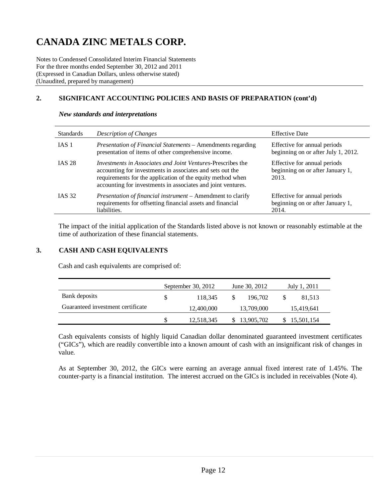Notes to Condensed Consolidated Interim Financial Statements For the three months ended September 30, 2012 and 2011 (Expressed in Canadian Dollars, unless otherwise stated) (Unaudited, prepared by management)

## **2. SIGNIFICANT ACCOUNTING POLICIES AND BASIS OF PREPARATION (cont'd)**

| <b>Standards</b> | Description of Changes                                                                                                                                                                                                                                        | <b>Effective Date</b>                                                     |
|------------------|---------------------------------------------------------------------------------------------------------------------------------------------------------------------------------------------------------------------------------------------------------------|---------------------------------------------------------------------------|
| IAS <sub>1</sub> | Presentation of Financial Statements - Amendments regarding<br>presentation of items of other comprehensive income.                                                                                                                                           | Effective for annual periods<br>beginning on or after July 1, 2012.       |
| <b>IAS 28</b>    | <i>Investments in Associates and Joint Ventures-Prescribes the</i><br>accounting for investments in associates and sets out the<br>requirements for the application of the equity method when<br>accounting for investments in associates and joint ventures. | Effective for annual periods<br>beginning on or after January 1,<br>2013. |
| <b>IAS 32</b>    | Presentation of financial instrument - Amendment to clarify<br>requirements for offsetting financial assets and financial<br>liabilities.                                                                                                                     | Effective for annual periods<br>beginning on or after January 1,<br>2014. |

#### *New standards and interpretations*

The impact of the initial application of the Standards listed above is not known or reasonably estimable at the time of authorization of these financial statements.

### **3. CASH AND CASH EQUIVALENTS**

Cash and cash equivalents are comprised of:

|                                   |    | September 30, 2012 | June 30, 2012 | July 1, 2011 |            |  |
|-----------------------------------|----|--------------------|---------------|--------------|------------|--|
| Bank deposits                     | S. | 118.345            | 196,702       |              | 81,513     |  |
| Guaranteed investment certificate |    | 12,400,000         | 13,709,000    |              | 15,419,641 |  |
|                                   |    | 12,518,345         | 13,905,702    |              | 15,501,154 |  |

Cash equivalents consists of highly liquid Canadian dollar denominated guaranteed investment certificates ("GICs"), which are readily convertible into a known amount of cash with an insignificant risk of changes in value.

As at September 30, 2012, the GICs were earning an average annual fixed interest rate of 1.45%. The counter-party is a financial institution. The interest accrued on the GICs is included in receivables (Note 4).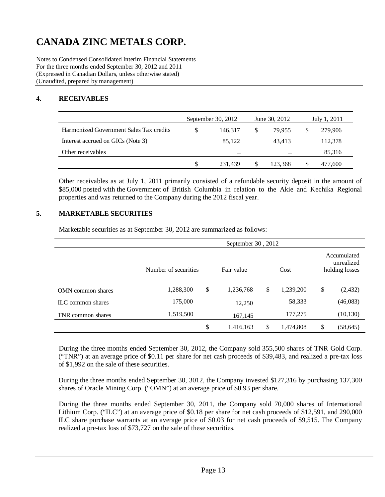Notes to Condensed Consolidated Interim Financial Statements For the three months ended September 30, 2012 and 2011 (Expressed in Canadian Dollars, unless otherwise stated) (Unaudited, prepared by management)

## **4. RECEIVABLES**

|                                         | September 30, 2012 |    | June 30, 2012 | July 1, 2011 |         |
|-----------------------------------------|--------------------|----|---------------|--------------|---------|
| Harmonized Government Sales Tax credits | 146.317            | \$ | 79.955        |              | 279,906 |
| Interest accrued on GICs (Note 3)       | 85.122             |    | 43.413        |              | 112,378 |
| Other receivables                       | -                  |    |               |              | 85,316  |
|                                         | 231.439            | S  | 123.368       |              | 477.600 |

Other receivables as at July 1, 2011 primarily consisted of a refundable security deposit in the amount of \$85,000 posted with the Government of British Columbia in relation to the Akie and Kechika Regional properties and was returned to the Company during the 2012 fiscal year.

### **5. MARKETABLE SECURITIES**

Marketable securities as at September 30, 2012 are summarized as follows:

|                   | September 30, 2012   |            |           |    |                                             |    |           |  |  |
|-------------------|----------------------|------------|-----------|----|---------------------------------------------|----|-----------|--|--|
|                   | Number of securities | Fair value | Cost      |    | Accumulated<br>unrealized<br>holding losses |    |           |  |  |
|                   |                      |            |           |    |                                             |    |           |  |  |
| OMN common shares | 1,288,300            | \$         | 1,236,768 | \$ | 1,239,200                                   | \$ | (2, 432)  |  |  |
| ILC common shares | 175,000              |            | 12,250    |    | 58,333                                      |    | (46,083)  |  |  |
| TNR common shares | 1,519,500            |            | 167,145   |    | 177,275                                     |    | (10, 130) |  |  |
|                   |                      | \$         | 1,416,163 | S  | 1,474,808                                   | \$ | (58, 645) |  |  |

During the three months ended September 30, 2012, the Company sold 355,500 shares of TNR Gold Corp. ("TNR") at an average price of \$0.11 per share for net cash proceeds of \$39,483, and realized a pre-tax loss of \$1,992 on the sale of these securities.

During the three months ended September 30, 3012, the Company invested \$127,316 by purchasing 137,300 shares of Oracle Mining Corp. ("OMN") at an average price of \$0.93 per share.

During the three months ended September 30, 2011, the Company sold 70,000 shares of International Lithium Corp. ("ILC") at an average price of \$0.18 per share for net cash proceeds of \$12,591, and 290,000 ILC share purchase warrants at an average price of \$0.03 for net cash proceeds of \$9,515. The Company realized a pre-tax loss of \$73,727 on the sale of these securities.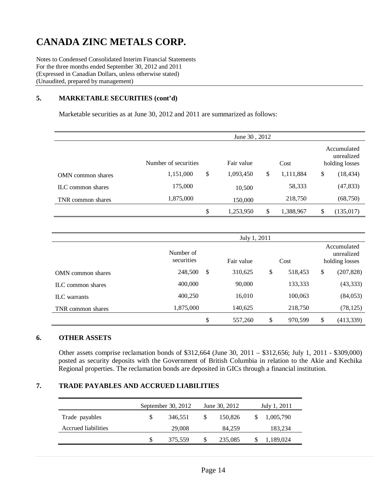Notes to Condensed Consolidated Interim Financial Statements For the three months ended September 30, 2012 and 2011 (Expressed in Canadian Dollars, unless otherwise stated) (Unaudited, prepared by management)

### **5. MARKETABLE SECURITIES (cont'd)**

Marketable securities as at June 30, 2012 and 2011 are summarized as follows:

|                   | June 30, 2012        |    |            |      |           |                                             |            |  |
|-------------------|----------------------|----|------------|------|-----------|---------------------------------------------|------------|--|
|                   | Number of securities |    | Fair value | Cost |           | Accumulated<br>unrealized<br>holding losses |            |  |
| OMN common shares | 1,151,000            | \$ | 1,093,450  | \$   | 1,111,884 | \$                                          | (18, 434)  |  |
| ILC common shares | 175,000              |    | 10,500     |      | 58,333    |                                             | (47, 833)  |  |
| TNR common shares | 1,875,000            |    | 150,000    |      | 218,750   |                                             | (68,750)   |  |
|                   |                      | \$ | 1,253,950  | S    | 1,388,967 | \$                                          | (135, 017) |  |

|                          |                         | July 1, 2011 |               |    |                                             |
|--------------------------|-------------------------|--------------|---------------|----|---------------------------------------------|
|                          | Number of<br>securities | Fair value   | Cost          |    | Accumulated<br>unrealized<br>holding losses |
| <b>OMN</b> common shares | S<br>248,500            | 310,625      | \$<br>518,453 | \$ | (207, 828)                                  |
| ILC common shares        | 400,000                 | 90,000       | 133,333       |    | (43, 333)                                   |
| <b>ILC</b> warrants      | 400,250                 | 16,010       | 100,063       |    | (84, 053)                                   |
| TNR common shares        | 1,875,000               | 140,625      | 218,750       |    | (78, 125)                                   |
|                          | \$                      | 557,260      | \$<br>970,599 | -S | (413, 339)                                  |

#### **6. OTHER ASSETS**

Other assets comprise reclamation bonds of \$312,664 (June 30, 2011 – \$312,656; July 1, 2011 - \$309,000) posted as security deposits with the Government of British Columbia in relation to the Akie and Kechika Regional properties. The reclamation bonds are deposited in GICs through a financial institution.

#### **7. TRADE PAYABLES AND ACCRUED LIABILITIES**

|                     | September 30, 2012 |               | June 30, 2012 | July 1, 2011 |
|---------------------|--------------------|---------------|---------------|--------------|
| Trade payables      | \$<br>346.551      | <sup>\$</sup> | 150,826       | 1,005,790    |
| Accrued liabilities | 29,008             |               | 84.259        | 183,234      |
|                     | \$<br>375,559      |               | 235,085       | 1,189,024    |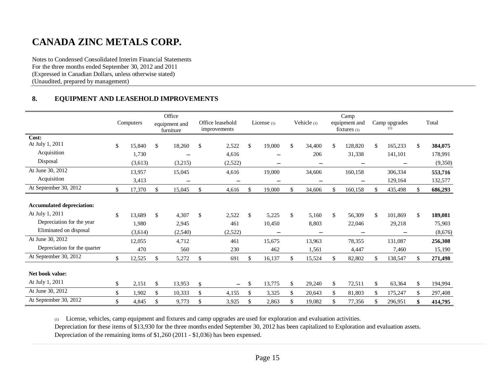Notes to Condensed Consolidated Interim Financial Statements For the three months ended September 30, 2012 and 2011 (Expressed in Canadian Dollars, unless otherwise stated) (Unaudited, prepared by management)

### **8. EQUIPMENT AND LEASEHOLD IMPROVEMENTS**

|                                                                                                                                                                | Computers                                         | Office<br>equipment and<br>furniture            |              | Office leasehold<br>improvements      | License $(1)$                          |              | Vehicle (1)                       |              | Camp<br>equipment and<br>$fixtures_{(1)}$ |    | Camp upgrades<br>(1)                  | Total                                                   |
|----------------------------------------------------------------------------------------------------------------------------------------------------------------|---------------------------------------------------|-------------------------------------------------|--------------|---------------------------------------|----------------------------------------|--------------|-----------------------------------|--------------|-------------------------------------------|----|---------------------------------------|---------------------------------------------------------|
| Cost:                                                                                                                                                          |                                                   |                                                 |              |                                       |                                        |              |                                   |              |                                           |    |                                       |                                                         |
| At July 1, 2011                                                                                                                                                | \$<br>15,840                                      | \$<br>18,260                                    | \$           | 2,522                                 | \$<br>19,000                           | $\mathbb{S}$ | 34,400                            | \$.          | 128,820                                   | \$ | 165,233                               | \$<br>384,075                                           |
| Acquisition                                                                                                                                                    | 1,730                                             | $\overline{\phantom{m}}$                        |              | 4,616                                 | $\overline{\phantom{0}}$               |              | 206                               |              | 31,338                                    |    | 141,101                               | 178,991                                                 |
| Disposal                                                                                                                                                       | (3,613)                                           | (3,215)                                         |              | (2,522)                               | -                                      |              | $\qquad \qquad -$                 |              | $\overline{\phantom{m}}$                  |    |                                       | (9,350)                                                 |
| At June 30, 2012                                                                                                                                               | 13,957                                            | 15,045                                          |              | 4,616                                 | 19,000                                 |              | 34,606                            |              | 160,158                                   |    | 306,334                               | 553,716                                                 |
| Acquisition                                                                                                                                                    | 3,413                                             |                                                 |              |                                       |                                        |              |                                   |              |                                           |    | 129,164                               | 132,577                                                 |
| At September 30, 2012                                                                                                                                          | \$<br>17,370                                      | \$<br>15,045                                    | \$           | 4,616                                 | \$<br>19,000                           | \$           | 34,606                            | \$           | 160,158                                   | £. | 435,498                               | \$<br>686,293                                           |
| <b>Accumulated depreciation:</b><br>At July 1, 2011<br>Depreciation for the year<br>Eliminated on disposal<br>At June 30, 2012<br>Depreciation for the quarter | \$<br>13.689<br>1,980<br>(3,614)<br>12,055<br>470 | \$<br>4,307<br>2,945<br>(2,540)<br>4,712<br>560 | \$           | 2,522<br>461<br>(2,522)<br>461<br>230 | \$<br>5,225<br>10,450<br>15,675<br>462 | \$           | 5.160<br>8,803<br>13,963<br>1,561 | $\mathbb{S}$ | 56,309<br>22,046<br>78,355<br>4,447       | \$ | 101,869<br>29,218<br>131,087<br>7,460 | \$<br>189,081<br>75,903<br>(8,676)<br>256,308<br>15,190 |
| At September 30, 2012                                                                                                                                          | \$<br>12,525                                      | \$<br>5,272                                     | $\mathbb{S}$ | 691                                   | \$<br>16,137                           | \$           | 15,524                            | \$           | 82,802                                    | \$ | 138,547                               | \$<br>271,498                                           |
| Net book value:<br>At July 1, 2011                                                                                                                             | \$<br>2,151                                       | \$<br>13,953                                    | \$           | $\overline{\phantom{0}}$              | \$<br>13,775                           | \$           | 29,240                            | \$           | 72,511                                    | \$ | 63,364                                | \$<br>194,994                                           |
| At June 30, 2012                                                                                                                                               | \$<br>1,902                                       | \$<br>10,333                                    | \$           | 4,155                                 | \$<br>3,325                            | \$           | 20,643                            | \$           | 81,803                                    | \$ | 175,247                               | \$<br>297,408                                           |
| At September 30, 2012                                                                                                                                          | \$<br>4,845                                       | \$<br>9,773                                     | \$           | 3,925                                 | \$<br>2,863                            | \$           | 19.082                            | \$           | 77,356                                    | \$ | 296,951                               | \$<br>414,795                                           |

(1) License, vehicles, camp equipment and fixtures and camp upgrades are used for exploration and evaluation activities.

Depreciation for these items of \$13,930 for the three months ended September 30, 2012 has been capitalized to Exploration and evaluation assets.

Depreciation of the remaining items of \$1,260 (2011 - \$1,036) has been expensed.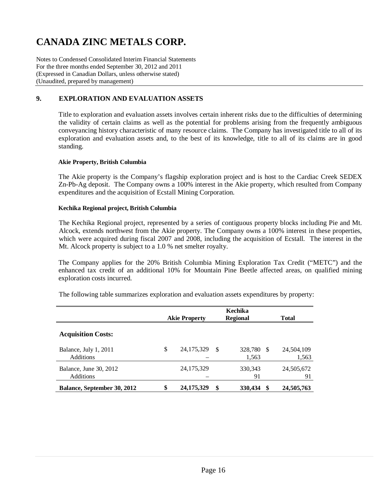Notes to Condensed Consolidated Interim Financial Statements For the three months ended September 30, 2012 and 2011 (Expressed in Canadian Dollars, unless otherwise stated) (Unaudited, prepared by management)

## **9. EXPLORATION AND EVALUATION ASSETS**

Title to exploration and evaluation assets involves certain inherent risks due to the difficulties of determining the validity of certain claims as well as the potential for problems arising from the frequently ambiguous conveyancing history characteristic of many resource claims. The Company has investigated title to all of its exploration and evaluation assets and, to the best of its knowledge, title to all of its claims are in good standing.

#### **Akie Property, British Columbia**

The Akie property is the Company's flagship exploration project and is host to the Cardiac Creek SEDEX Zn-Pb-Ag deposit. The Company owns a 100% interest in the Akie property, which resulted from Company expenditures and the acquisition of Ecstall Mining Corporation.

#### **Kechika Regional project, British Columbia**

The Kechika Regional project, represented by a series of contiguous property blocks including Pie and Mt. Alcock, extends northwest from the Akie property. The Company owns a 100% interest in these properties, which were acquired during fiscal 2007 and 2008, including the acquisition of Ecstall. The interest in the Mt. Alcock property is subject to a 1.0 % net smelter royalty.

The Company applies for the 20% British Columbia Mining Exploration Tax Credit ("METC") and the enhanced tax credit of an additional 10% for Mountain Pine Beetle affected areas, on qualified mining exploration costs incurred.

The following table summarizes exploration and evaluation assets expenditures by property:

|                                            | <b>Akie Property</b> |    | Kechika<br><b>Regional</b> |    | <b>Total</b>        |
|--------------------------------------------|----------------------|----|----------------------------|----|---------------------|
| <b>Acquisition Costs:</b>                  |                      |    |                            |    |                     |
| Balance, July 1, 2011<br><b>Additions</b>  | \$<br>24, 175, 329   | -S | 328,780<br>1,563           | -S | 24,504,109<br>1,563 |
| Balance, June 30, 2012<br><b>Additions</b> | 24, 175, 329         |    | 330, 343<br>91             |    | 24,505,672<br>91    |
| <b>Balance, September 30, 2012</b>         | \$<br>24, 175, 329   | S  | 330,434                    | S  | 24,505,763          |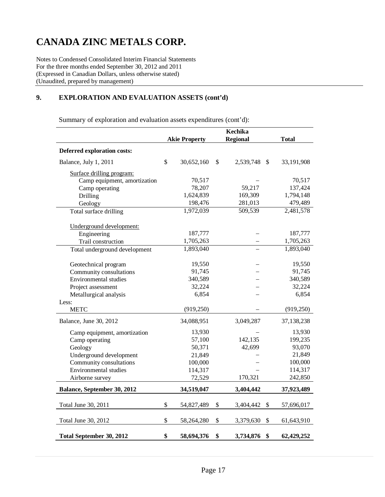Notes to Condensed Consolidated Interim Financial Statements For the three months ended September 30, 2012 and 2011 (Expressed in Canadian Dollars, unless otherwise stated) (Unaudited, prepared by management)

## **9. EXPLORATION AND EVALUATION ASSETS (cont'd)**

Summary of exploration and evaluation assets expenditures (cont'd):

|                                    |                      | <b>Kechika</b>                               |              |
|------------------------------------|----------------------|----------------------------------------------|--------------|
|                                    | <b>Akie Property</b> | <b>Regional</b>                              | <b>Total</b> |
| <b>Deferred exploration costs:</b> |                      |                                              |              |
| Balance, July 1, 2011              | \$<br>30,652,160     | \$<br>2,539,748<br>$\mathcal{S}$             | 33,191,908   |
| Surface drilling program:          |                      |                                              |              |
| Camp equipment, amortization       | 70,517               |                                              | 70,517       |
| Camp operating                     | 78,207               | 59,217                                       | 137,424      |
| Drilling                           | 1,624,839            | 169,309                                      | 1,794,148    |
| Geology                            | 198,476              | 281,013                                      | 479,489      |
| Total surface drilling             | 1,972,039            | 509,539                                      | 2,481,578    |
| Underground development:           |                      |                                              |              |
| Engineering                        | 187,777              |                                              | 187,777      |
| Trail construction                 | 1,705,263            |                                              | 1,705,263    |
| Total underground development      | 1,893,040            |                                              | 1,893,040    |
|                                    |                      |                                              |              |
| Geotechnical program               | 19,550               |                                              | 19,550       |
| Community consultations            | 91,745               |                                              | 91,745       |
| Environmental studies              | 340,589              |                                              | 340,589      |
| Project assessment                 | 32,224               |                                              | 32,224       |
| Metallurgical analysis             | 6,854                |                                              | 6,854        |
| Less:                              |                      |                                              |              |
| <b>METC</b>                        | (919, 250)           |                                              | (919, 250)   |
| Balance, June 30, 2012             | 34,088,951           | 3,049,287                                    | 37,138,238   |
| Camp equipment, amortization       | 13,930               |                                              | 13,930       |
| Camp operating                     | 57,100               | 142,135                                      | 199,235      |
| Geology                            | 50,371               | 42,699                                       | 93,070       |
| Underground development            | 21,849               |                                              | 21,849       |
| Community consultations            | 100,000              |                                              | 100,000      |
| Environmental studies              | 114,317              |                                              | 114,317      |
| Airborne survey                    | 72,529               | 170,321                                      | 242,850      |
| Balance, September 30, 2012        | 34,519,047           | 3,404,442                                    | 37,923,489   |
|                                    |                      |                                              |              |
| Total June 30, 2011                | \$<br>54,827,489     | \$<br>3,404,442<br>\$                        | 57,696,017   |
| Total June 30, 2012                | \$<br>58,264,280     | \$<br>3,379,630<br>$\boldsymbol{\mathsf{S}}$ | 61,643,910   |
| <b>Total September 30, 2012</b>    | \$<br>58,694,376     | \$<br>3,734,876<br>\$                        | 62,429,252   |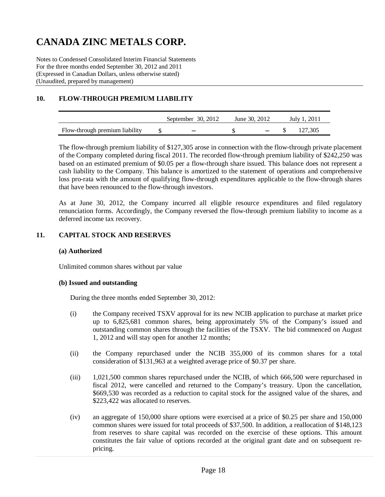Notes to Condensed Consolidated Interim Financial Statements For the three months ended September 30, 2012 and 2011 (Expressed in Canadian Dollars, unless otherwise stated) (Unaudited, prepared by management)

## **10. FLOW-THROUGH PREMIUM LIABILITY**

|                                | September $30, 2012$ | June 30, 2012 | July 1, 2011 |
|--------------------------------|----------------------|---------------|--------------|
| Flow-through premium liability |                      |               | 127.305      |

The flow-through premium liability of \$127,305 arose in connection with the flow-through private placement of the Company completed during fiscal 2011. The recorded flow-through premium liability of \$242,250 was based on an estimated premium of \$0.05 per a flow-through share issued. This balance does not represent a cash liability to the Company. This balance is amortized to the statement of operations and comprehensive loss pro-rata with the amount of qualifying flow-through expenditures applicable to the flow-through shares that have been renounced to the flow-through investors.

As at June 30, 2012, the Company incurred all eligible resource expenditures and filed regulatory renunciation forms. Accordingly, the Company reversed the flow-through premium liability to income as a deferred income tax recovery.

### **11. CAPITAL STOCK AND RESERVES**

#### **(a) Authorized**

Unlimited common shares without par value

#### **(b) Issued and outstanding**

During the three months ended September 30, 2012:

- (i) the Company received TSXV approval for its new NCIB application to purchase at market price up to 6,825,681 common shares, being approximately 5% of the Company's issued and outstanding common shares through the facilities of the TSXV. The bid commenced on August 1, 2012 and will stay open for another 12 months;
- (ii) the Company repurchased under the NCIB 355,000 of its common shares for a total consideration of \$131,963 at a weighted average price of \$0.37 per share.
- (iii) 1,021,500 common shares repurchased under the NCIB, of which 666,500 were repurchased in fiscal 2012, were cancelled and returned to the Company's treasury. Upon the cancellation, \$669,530 was recorded as a reduction to capital stock for the assigned value of the shares, and \$223,422 was allocated to reserves.
- (iv) an aggregate of 150,000 share options were exercised at a price of \$0.25 per share and 150,000 common shares were issued for total proceeds of \$37,500. In addition, a reallocation of \$148,123 from reserves to share capital was recorded on the exercise of these options. This amount constitutes the fair value of options recorded at the original grant date and on subsequent repricing.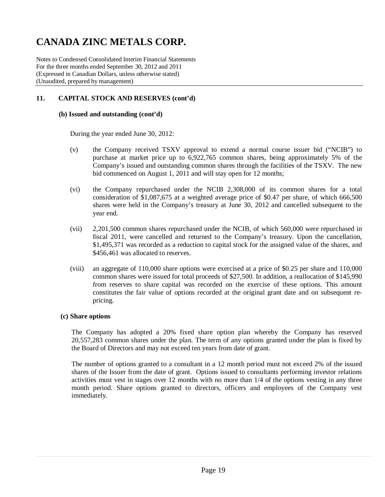Notes to Condensed Consolidated Interim Financial Statements For the three months ended September 30, 2012 and 2011 (Expressed in Canadian Dollars, unless otherwise stated) (Unaudited, prepared by management)

## **11. CAPITAL STOCK AND RESERVES (cont'd)**

#### **(b) Issued and outstanding (cont'd)**

During the year ended June 30, 2012:

- (v) the Company received TSXV approval to extend a normal course issuer bid ("NCIB") to purchase at market price up to 6,922,765 common shares, being approximately 5% of the Company's issued and outstanding common shares through the facilities of the TSXV. The new bid commenced on August 1, 2011 and will stay open for 12 months;
- (vi) the Company repurchased under the NCIB 2,308,000 of its common shares for a total consideration of \$1,087,675 at a weighted average price of \$0.47 per share, of which 666,500 shares were held in the Company's treasury at June 30, 2012 and cancelled subsequent to the year end.
- (vii) 2,201,500 common shares repurchased under the NCIB, of which 560,000 were repurchased in fiscal 2011, were cancelled and returned to the Company's treasury. Upon the cancellation, \$1,495,371 was recorded as a reduction to capital stock for the assigned value of the shares, and \$456,461 was allocated to reserves.
- (viii) an aggregate of 110,000 share options were exercised at a price of \$0.25 per share and 110,000 common shares were issued for total proceeds of \$27,500. In addition, a reallocation of \$145,990 from reserves to share capital was recorded on the exercise of these options. This amount constitutes the fair value of options recorded at the original grant date and on subsequent repricing.

#### **(c) Share options**

The Company has adopted a 20% fixed share option plan whereby the Company has reserved 20,557,283 common shares under the plan. The term of any options granted under the plan is fixed by the Board of Directors and may not exceed ten years from date of grant.

The number of options granted to a consultant in a 12 month period must not exceed 2% of the issued shares of the Issuer from the date of grant. Options issued to consultants performing investor relations activities must vest in stages over 12 months with no more than 1/4 of the options vesting in any three month period. Share options granted to directors, officers and employees of the Company vest immediately.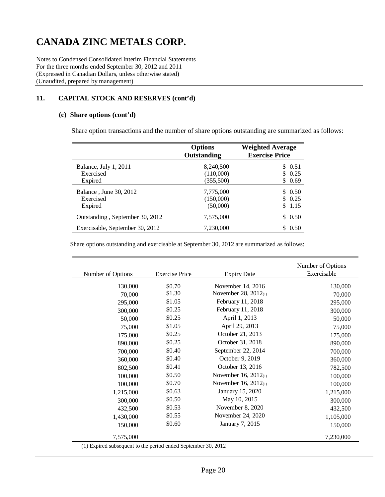Notes to Condensed Consolidated Interim Financial Statements For the three months ended September 30, 2012 and 2011 (Expressed in Canadian Dollars, unless otherwise stated) (Unaudited, prepared by management)

## **11. CAPITAL STOCK AND RESERVES (cont'd)**

#### **(c) Share options (cont'd)**

Share option transactions and the number of share options outstanding are summarized as follows:

|                                 | <b>Options</b><br>Outstanding | <b>Weighted Average</b><br><b>Exercise Price</b> |
|---------------------------------|-------------------------------|--------------------------------------------------|
| Balance, July 1, 2011           | 8,240,500                     | \$ 0.51                                          |
| Exercised                       | (110,000)                     | \$0.25                                           |
| Expired                         | (355,500)                     | \$0.69                                           |
| Balance, June 30, 2012          | 7,775,000                     | \$0.50                                           |
| Exercised                       | (150,000)                     | \$0.25                                           |
| Expired                         | (50,000)                      | 1.15                                             |
| Outstanding, September 30, 2012 | 7,575,000                     | 0.50<br>S.                                       |
| Exercisable, September 30, 2012 | 7,230,000                     | 0.50                                             |

Share options outstanding and exercisable at September 30, 2012 are summarized as follows:

| Number of Options | <b>Exercise Price</b> | <b>Expiry Date</b>        | Number of Options<br>Exercisable |
|-------------------|-----------------------|---------------------------|----------------------------------|
| 130,000           | \$0.70                | November 14, 2016         | 130,000                          |
| 70,000            | \$1.30                | November 28, $2012_{(1)}$ | 70,000                           |
| 295,000           | \$1.05                | February 11, 2018         | 295,000                          |
| 300,000           | \$0.25                | February 11, 2018         | 300,000                          |
| 50,000            | \$0.25                | April 1, 2013             | 50,000                           |
| 75,000            | \$1.05                | April 29, 2013            | 75,000                           |
| 175,000           | \$0.25                | October 21, 2013          | 175,000                          |
| 890,000           | \$0.25                | October 31, 2018          | 890,000                          |
| 700,000           | \$0.40                | September 22, 2014        | 700,000                          |
| 360,000           | \$0.40                | October 9, 2019           | 360,000                          |
| 802,500           | \$0.41                | October 13, 2016          | 782,500                          |
| 100,000           | \$0.50                | November 16, $2012_{(1)}$ | 100,000                          |
| 100,000           | \$0.70                | November 16, $2012_{(1)}$ | 100,000                          |
| 1,215,000         | \$0.63                | January 15, 2020          | 1,215,000                        |
| 300,000           | \$0.50                | May 10, 2015              | 300,000                          |
| 432,500           | \$0.53                | November 8, 2020          | 432,500                          |
| 1,430,000         | \$0.55                | November 24, 2020         | 1,105,000                        |
| 150,000           | \$0.60                | January 7, 2015           | 150,000                          |
| 7,575,000         |                       |                           | 7,230,000                        |

(1) Expired subsequent to the period ended September 30, 2012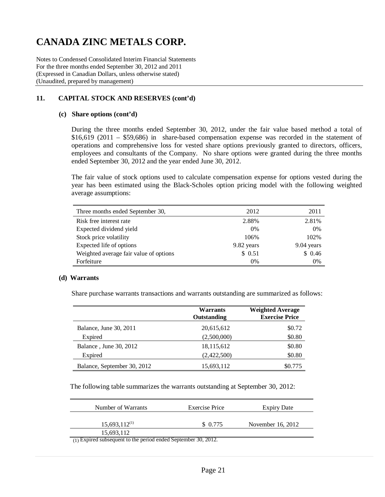Notes to Condensed Consolidated Interim Financial Statements For the three months ended September 30, 2012 and 2011 (Expressed in Canadian Dollars, unless otherwise stated) (Unaudited, prepared by management)

## **11. CAPITAL STOCK AND RESERVES (cont'd)**

#### **(c) Share options (cont'd)**

During the three months ended September 30, 2012, under the fair value based method a total of \$16,619 (2011 – \$59,686) in share-based compensation expense was recorded in the statement of operations and comprehensive loss for vested share options previously granted to directors, officers, employees and consultants of the Company. No share options were granted during the three months ended September 30, 2012 and the year ended June 30, 2012.

The fair value of stock options used to calculate compensation expense for options vested during the year has been estimated using the Black-Scholes option pricing model with the following weighted average assumptions:

| Three months ended September 30,       | 2012       | 2011       |
|----------------------------------------|------------|------------|
| Risk free interest rate                | 2.88%      | 2.81%      |
| Expected dividend yield                | 0%         | 0%         |
| Stock price volatility                 | 106%       | 102%       |
| Expected life of options               | 9.82 years | 9.04 years |
| Weighted average fair value of options | \$0.51     | \$0.46     |
| Forfeiture                             | 0%         | 0%         |

#### **(d) Warrants**

Share purchase warrants transactions and warrants outstanding are summarized as follows:

|                             | <b>Warrants</b><br>Outstanding | <b>Weighted Average</b><br><b>Exercise Price</b> |
|-----------------------------|--------------------------------|--------------------------------------------------|
| Balance, June 30, 2011      | 20,615,612                     | \$0.72                                           |
| Expired                     | (2,500,000)                    | \$0.80                                           |
| Balance, June 30, 2012      | 18,115,612                     | \$0.80                                           |
| Expired                     | (2,422,500)                    | \$0.80                                           |
| Balance, September 30, 2012 | 15,693,112                     | \$0.775                                          |

The following table summarizes the warrants outstanding at September 30, 2012:

| Number of Warrants | Exercise Price | <b>Expiry Date</b> |
|--------------------|----------------|--------------------|
| $15,693,112^{(1)}$ | \$ 0.775       | November 16, 2012  |
| 15,693,112         |                |                    |

(1) Expired subsequent to the period ended September 30, 2012.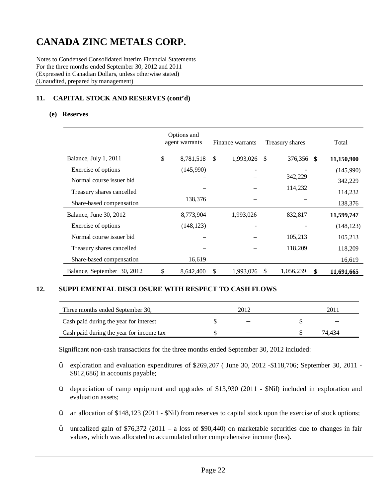Notes to Condensed Consolidated Interim Financial Statements For the three months ended September 30, 2012 and 2011 (Expressed in Canadian Dollars, unless otherwise stated) (Unaudited, prepared by management)

## **11. CAPITAL STOCK AND RESERVES (cont'd)**

#### **(e) Reserves**

|                             | Options and<br>agent warrants |               | Finance warrants |    | Treasury shares |      | Total      |
|-----------------------------|-------------------------------|---------------|------------------|----|-----------------|------|------------|
| Balance, July 1, 2011       | \$<br>8,781,518               | <sup>\$</sup> | 1,993,026        | -S | 376,356         | - \$ | 11,150,900 |
| Exercise of options         | (145,990)                     |               |                  |    |                 |      | (145,990)  |
| Normal course issuer bid    |                               |               |                  |    | 342,229         |      | 342,229    |
| Treasury shares cancelled   |                               |               |                  |    | 114,232         |      | 114,232    |
| Share-based compensation    | 138,376                       |               |                  |    |                 |      | 138,376    |
| Balance, June 30, 2012      | 8,773,904                     |               | 1,993,026        |    | 832,817         |      | 11,599,747 |
| Exercise of options         | (148, 123)                    |               |                  |    |                 |      | (148, 123) |
| Normal course issuer bid    |                               |               |                  |    | 105,213         |      | 105,213    |
| Treasury shares cancelled   |                               |               |                  |    | 118,209         |      | 118,209    |
| Share-based compensation    | 16,619                        |               |                  |    |                 |      | 16,619     |
| Balance, September 30, 2012 | \$<br>8,642,400               | $\mathbb{S}$  | 1,993,026        | \$ | 1,056,239       | S    | 11,691,665 |

### **12. SUPPLEMENTAL DISCLOSURE WITH RESPECT TO CASH FLOWS**

| Three months ended September 30,         | 2012 | 201    |
|------------------------------------------|------|--------|
| Cash paid during the year for interest   |      |        |
| Cash paid during the year for income tax |      | 74.434 |

Significant non-cash transactions for the three months ended September 30, 2012 included:

- Ÿ exploration and evaluation expenditures of \$269,207 ( June 30, 2012 -\$118,706; September 30, 2011 \$812,686) in accounts payable;
- Ÿ depreciation of camp equipment and upgrades of \$13,930 (2011 \$Nil) included in exploration and evaluation assets;
- Ÿ an allocation of \$148,123 (2011 \$Nil) from reserves to capital stock upon the exercise of stock options;
- $\ddot{Y}$  unrealized gain of \$76,372 (2011 a loss of \$90,440) on marketable securities due to changes in fair values, which was allocated to accumulated other comprehensive income (loss).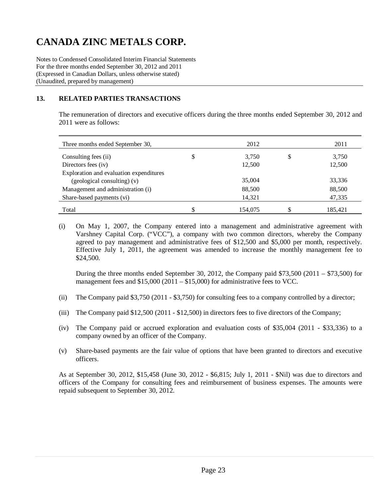Notes to Condensed Consolidated Interim Financial Statements For the three months ended September 30, 2012 and 2011 (Expressed in Canadian Dollars, unless otherwise stated) (Unaudited, prepared by management)

## **13. RELATED PARTIES TRANSACTIONS**

The remuneration of directors and executive officers during the three months ended September 30, 2012 and 2011 were as follows:

| Three months ended September 30,        | 2012        | 2011        |
|-----------------------------------------|-------------|-------------|
| Consulting fees (ii)                    | \$<br>3.750 | \$<br>3,750 |
| Directors fees (iv)                     | 12,500      | 12,500      |
| Exploration and evaluation expenditures |             |             |
| (geological consulting) (v)             | 35,004      | 33,336      |
| Management and administration (i)       | 88,500      | 88,500      |
| Share-based payments (vi)               | 14,321      | 47,335      |
| Total                                   | 154,075     | 185,421     |

(i) On May 1, 2007, the Company entered into a management and administrative agreement with Varshney Capital Corp. ("VCC"), a company with two common directors, whereby the Company agreed to pay management and administrative fees of \$12,500 and \$5,000 per month, respectively. Effective July 1, 2011, the agreement was amended to increase the monthly management fee to \$24,500.

During the three months ended September 30, 2012, the Company paid \$73,500 (2011 – \$73,500) for management fees and  $$15,000 (2011 - $15,000)$  for administrative fees to VCC.

- (ii) The Company paid \$3,750 (2011 \$3,750) for consulting fees to a company controlled by a director;
- (iii) The Company paid \$12,500 (2011 \$12,500) in directors fees to five directors of the Company;
- (iv) The Company paid or accrued exploration and evaluation costs of \$35,004 (2011 \$33,336) to a company owned by an officer of the Company.
- (v) Share-based payments are the fair value of options that have been granted to directors and executive officers.

As at September 30, 2012, \$15,458 (June 30, 2012 - \$6,815; July 1, 2011 - \$Nil) was due to directors and officers of the Company for consulting fees and reimbursement of business expenses. The amounts were repaid subsequent to September 30, 2012.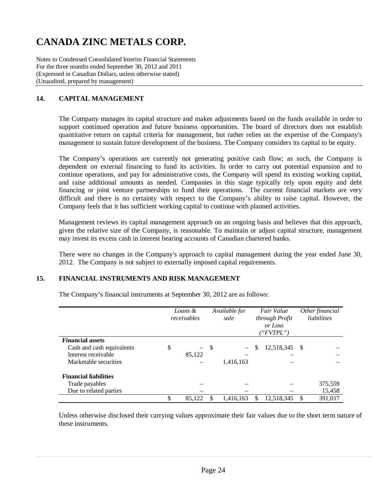Notes to Condensed Consolidated Interim Financial Statements For the three months ended September 30, 2012 and 2011 (Expressed in Canadian Dollars, unless otherwise stated) (Unaudited, prepared by management)

## **14. CAPITAL MANAGEMENT**

The Company manages its capital structure and makes adjustments based on the funds available in order to support continued operation and future business opportunities. The board of directors does not establish quantitative return on capital criteria for management, but rather relies on the expertise of the Company's management to sustain future development of the business. The Company considers its capital to be equity.

The Company's operations are currently not generating positive cash flow; as such, the Company is dependent on external financing to fund its activities. In order to carry out potential expansion and to continue operations, and pay for administrative costs, the Company will spend its existing working capital, and raise additional amounts as needed. Companies in this stage typically rely upon equity and debt financing or joint venture partnerships to fund their operations. The current financial markets are very difficult and there is no certainty with respect to the Company's ability to raise capital. However, the Company feels that it has sufficient working capital to continue with planned activities.

Management reviews its capital management approach on an ongoing basis and believes that this approach, given the relative size of the Company, is reasonable. To maintain or adjust capital structure, management may invest its excess cash in interest bearing accounts of Canadian chartered banks.

There were no changes in the Company's approach to capital management during the year ended June 30, 2012. The Company is not subject to externally imposed capital requirements.

### **15. FINANCIAL INSTRUMENTS AND RISK MANAGEMENT**

|                              | Loans &<br>receivables         |     | Available for<br>sale    |   | Fair Value<br>through Profit<br>or Loss<br>("FVTPL") |               | Other financial<br>liabilities |
|------------------------------|--------------------------------|-----|--------------------------|---|------------------------------------------------------|---------------|--------------------------------|
| <b>Financial assets</b>      |                                |     |                          |   |                                                      |               |                                |
| Cash and cash equivalents    | \$<br>$\overline{\phantom{0}}$ | -\$ | $\overline{\phantom{0}}$ | S | 12,518,345                                           | - \$          |                                |
| Interest receivable          | 85,122                         |     |                          |   |                                                      |               |                                |
| Marketable securities        |                                |     | 1,416,163                |   |                                                      |               |                                |
| <b>Financial liabilities</b> |                                |     |                          |   |                                                      |               |                                |
| Trade payables               |                                |     |                          |   |                                                      |               | 375,559                        |
| Due to related parties       |                                |     |                          |   |                                                      |               | 15,458                         |
|                              | \$<br>85,122                   |     | 1.416.163                | S | 12,518,345                                           | <sup>\$</sup> | 391,017                        |

The Company's financial instruments at September 30, 2012 are as follows:

Unless otherwise disclosed their carrying values approximate their fair values due to the short term nature of these instruments.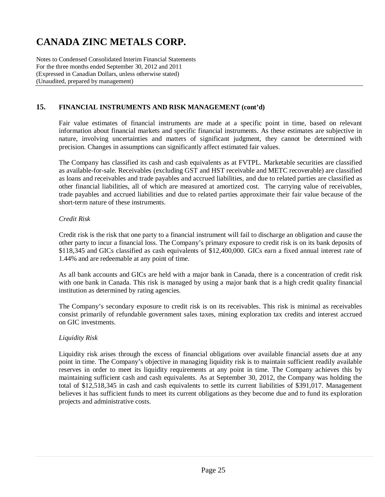Notes to Condensed Consolidated Interim Financial Statements For the three months ended September 30, 2012 and 2011 (Expressed in Canadian Dollars, unless otherwise stated) (Unaudited, prepared by management)

## **15. FINANCIAL INSTRUMENTS AND RISK MANAGEMENT (cont'd)**

Fair value estimates of financial instruments are made at a specific point in time, based on relevant information about financial markets and specific financial instruments. As these estimates are subjective in nature, involving uncertainties and matters of significant judgment, they cannot be determined with precision. Changes in assumptions can significantly affect estimated fair values.

The Company has classified its cash and cash equivalents as at FVTPL. Marketable securities are classified as available-for-sale. Receivables (excluding GST and HST receivable and METC recoverable) are classified as loans and receivables and trade payables and accrued liabilities, and due to related parties are classified as other financial liabilities, all of which are measured at amortized cost. The carrying value of receivables, trade payables and accrued liabilities and due to related parties approximate their fair value because of the short-term nature of these instruments.

### *Credit Risk*

Credit risk is the risk that one party to a financial instrument will fail to discharge an obligation and cause the other party to incur a financial loss. The Company's primary exposure to credit risk is on its bank deposits of \$118,345 and GICs classified as cash equivalents of \$12,400,000. GICs earn a fixed annual interest rate of 1.44% and are redeemable at any point of time.

As all bank accounts and GICs are held with a major bank in Canada, there is a concentration of credit risk with one bank in Canada. This risk is managed by using a major bank that is a high credit quality financial institution as determined by rating agencies.

The Company's secondary exposure to credit risk is on its receivables. This risk is minimal as receivables consist primarily of refundable government sales taxes, mining exploration tax credits and interest accrued on GIC investments.

### *Liquidity Risk*

Liquidity risk arises through the excess of financial obligations over available financial assets due at any point in time. The Company's objective in managing liquidity risk is to maintain sufficient readily available reserves in order to meet its liquidity requirements at any point in time. The Company achieves this by maintaining sufficient cash and cash equivalents. As at September 30, 2012, the Company was holding the total of \$12,518,345 in cash and cash equivalents to settle its current liabilities of \$391,017. Management believes it has sufficient funds to meet its current obligations as they become due and to fund its exploration projects and administrative costs.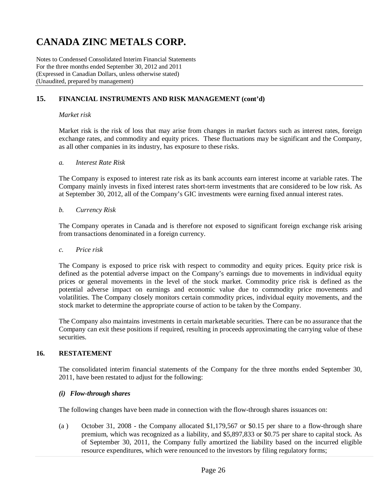Notes to Condensed Consolidated Interim Financial Statements For the three months ended September 30, 2012 and 2011 (Expressed in Canadian Dollars, unless otherwise stated) (Unaudited, prepared by management)

### **15. FINANCIAL INSTRUMENTS AND RISK MANAGEMENT (cont'd)**

#### *Market risk*

Market risk is the risk of loss that may arise from changes in market factors such as interest rates, foreign exchange rates, and commodity and equity prices. These fluctuations may be significant and the Company, as all other companies in its industry, has exposure to these risks.

#### *a. Interest Rate Risk*

The Company is exposed to interest rate risk as its bank accounts earn interest income at variable rates. The Company mainly invests in fixed interest rates short-term investments that are considered to be low risk. As at September 30, 2012, all of the Company's GIC investments were earning fixed annual interest rates.

#### *b. Currency Risk*

The Company operates in Canada and is therefore not exposed to significant foreign exchange risk arising from transactions denominated in a foreign currency.

#### *c. Price risk*

The Company is exposed to price risk with respect to commodity and equity prices. Equity price risk is defined as the potential adverse impact on the Company's earnings due to movements in individual equity prices or general movements in the level of the stock market. Commodity price risk is defined as the potential adverse impact on earnings and economic value due to commodity price movements and volatilities. The Company closely monitors certain commodity prices, individual equity movements, and the stock market to determine the appropriate course of action to be taken by the Company.

The Company also maintains investments in certain marketable securities. There can be no assurance that the Company can exit these positions if required, resulting in proceeds approximating the carrying value of these securities.

#### **16. RESTATEMENT**

The consolidated interim financial statements of the Company for the three months ended September 30, 2011, have been restated to adjust for the following:

#### *(i) Flow-through shares*

The following changes have been made in connection with the flow-through shares issuances on:

(a ) October 31, 2008 - the Company allocated \$1,179,567 or \$0.15 per share to a flow-through share premium, which was recognized as a liability, and \$5,897,833 or \$0.75 per share to capital stock. As of September 30, 2011, the Company fully amortized the liability based on the incurred eligible resource expenditures, which were renounced to the investors by filing regulatory forms;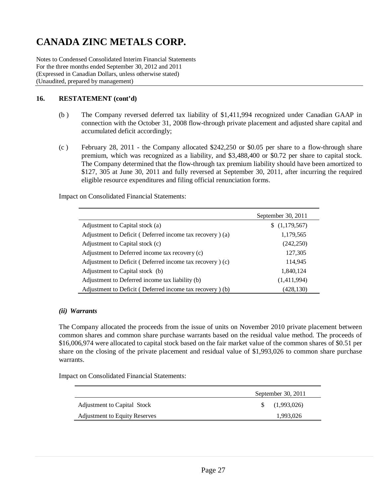Notes to Condensed Consolidated Interim Financial Statements For the three months ended September 30, 2012 and 2011 (Expressed in Canadian Dollars, unless otherwise stated) (Unaudited, prepared by management)

### **16. RESTATEMENT (cont'd)**

- (b ) The Company reversed deferred tax liability of \$1,411,994 recognized under Canadian GAAP in connection with the October 31, 2008 flow-through private placement and adjusted share capital and accumulated deficit accordingly;
- (c ) February 28, 2011 the Company allocated \$242,250 or \$0.05 per share to a flow-through share premium, which was recognized as a liability, and \$3,488,400 or \$0.72 per share to capital stock. The Company determined that the flow-through tax premium liability should have been amortized to \$127, 305 at June 30, 2011 and fully reversed at September 30, 2011, after incurring the required eligible resource expenditures and filing official renunciation forms.

Impact on Consolidated Financial Statements:

|                                                          | September 30, 2011 |
|----------------------------------------------------------|--------------------|
| Adjustment to Capital stock (a)                          | (1,179,567)        |
| Adjustment to Deficit (Deferred income tax recovery) (a) | 1,179,565          |
| Adjustment to Capital stock (c)                          | (242, 250)         |
| Adjustment to Deferred income tax recovery (c)           | 127,305            |
| Adjustment to Deficit (Deferred income tax recovery) (c) | 114,945            |
| Adjustment to Capital stock (b)                          | 1,840,124          |
| Adjustment to Deferred income tax liability (b)          | (1,411,994)        |
| Adjustment to Deficit (Deferred income tax recovery) (b) | (428,130)          |

### *(ii) Warrants*

The Company allocated the proceeds from the issue of units on November 2010 private placement between common shares and common share purchase warrants based on the residual value method. The proceeds of \$16,006,974 were allocated to capital stock based on the fair market value of the common shares of \$0.51 per share on the closing of the private placement and residual value of \$1,993,026 to common share purchase warrants.

Impact on Consolidated Financial Statements:

|                                      | September 30, 2011 |                   |  |
|--------------------------------------|--------------------|-------------------|--|
| Adjustment to Capital Stock          |                    | $\{(1,993,026)\}$ |  |
| <b>Adjustment to Equity Reserves</b> |                    | 1,993,026         |  |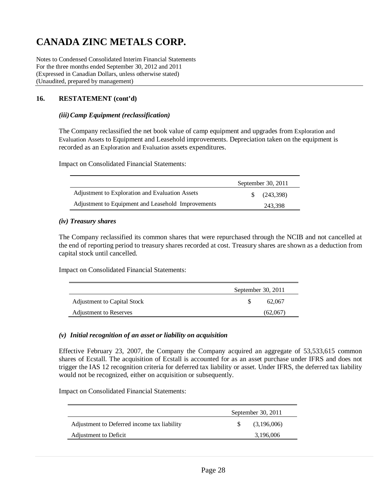Notes to Condensed Consolidated Interim Financial Statements For the three months ended September 30, 2012 and 2011 (Expressed in Canadian Dollars, unless otherwise stated) (Unaudited, prepared by management)

### **16. RESTATEMENT (cont'd)**

### *(iii)Camp Equipment (reclassification)*

The Company reclassified the net book value of camp equipment and upgrades from Exploration and Evaluation Assets to Equipment and Leasehold improvements. Depreciation taken on the equipment is recorded as an Exploration and Evaluation assets expenditures.

Impact on Consolidated Financial Statements:

|                                                    | September 30, 2011 |
|----------------------------------------------------|--------------------|
| Adjustment to Exploration and Evaluation Assets    | (243.398)          |
| Adjustment to Equipment and Leasehold Improvements | 243,398            |

#### *(iv) Treasury shares*

The Company reclassified its common shares that were repurchased through the NCIB and not cancelled at the end of reporting period to treasury shares recorded at cost. Treasury shares are shown as a deduction from capital stock until cancelled.

Impact on Consolidated Financial Statements:

|                               | September 30, 2011 |
|-------------------------------|--------------------|
| Adjustment to Capital Stock   | 62,067             |
| <b>Adjustment to Reserves</b> | (62,067)           |

### *(v) Initial recognition of an asset or liability on acquisition*

Effective February 23, 2007, the Company the Company acquired an aggregate of 53,533,615 common shares of Ecstall. The acquisition of Ecstall is accounted for as an asset purchase under IFRS and does not trigger the IAS 12 recognition criteria for deferred tax liability or asset. Under IFRS, the deferred tax liability would not be recognized, either on acquisition or subsequently.

Impact on Consolidated Financial Statements:

|                                             | September 30, 2011 |             |  |  |
|---------------------------------------------|--------------------|-------------|--|--|
| Adjustment to Deferred income tax liability |                    | (3,196,006) |  |  |
| Adjustment to Deficit                       |                    | 3,196,006   |  |  |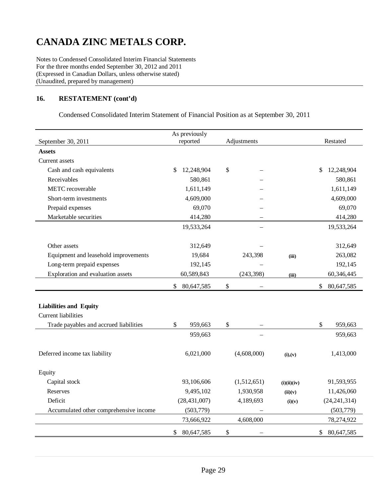Notes to Condensed Consolidated Interim Financial Statements For the three months ended September 30, 2012 and 2011 (Expressed in Canadian Dollars, unless otherwise stated) (Unaudited, prepared by management)

## **16. RESTATEMENT (cont'd)**

Condensed Consolidated Interim Statement of Financial Position as at September 30, 2011

| September 30, 2011                     | As previously<br>reported  | Adjustments                               | Restated                  |
|----------------------------------------|----------------------------|-------------------------------------------|---------------------------|
| <b>Assets</b>                          |                            |                                           |                           |
| Current assets                         |                            |                                           |                           |
| Cash and cash equivalents              | 12,248,904<br>\$           | \$                                        | 12,248,904<br>\$          |
| Receivables                            | 580,861                    |                                           | 580,861                   |
| METC recoverable                       | 1,611,149                  |                                           | 1,611,149                 |
| Short-term investments                 | 4,609,000                  |                                           | 4,609,000                 |
| Prepaid expenses                       | 69,070                     |                                           | 69,070                    |
| Marketable securities                  | 414,280                    |                                           | 414,280                   |
|                                        | 19,533,264                 |                                           | 19,533,264                |
|                                        |                            |                                           |                           |
| Other assets                           | 312,649                    |                                           | 312,649                   |
| Equipment and leasehold improvements   | 19,684                     | 243,398                                   | 263,082<br>(iii)          |
| Long-term prepaid expenses             | 192,145                    |                                           | 192,145                   |
| Exploration and evaluation assets      | 60,589,843                 | (243, 398)                                | 60,346,445<br>(iii)       |
|                                        | $\mathbb{S}$<br>80,647,585 | $\mathcal{S}$<br>$\overline{\phantom{m}}$ | \$<br>80,647,585          |
|                                        |                            |                                           |                           |
| <b>Liabilities and Equity</b>          |                            |                                           |                           |
| <b>Current liabilities</b>             |                            |                                           |                           |
| Trade payables and accrued liabilities | \$<br>959,663              | \$                                        | \$<br>959,663             |
|                                        | 959,663                    |                                           | 959,663                   |
|                                        |                            |                                           |                           |
| Deferred income tax liability          | 6,021,000                  | (4,608,000)                               | 1,413,000<br>(i), (v)     |
| Equity                                 |                            |                                           |                           |
| Capital stock                          | 93,106,606                 | (1,512,651)                               | 91,593,955<br>(i)(ii)(iv) |
| Reserves                               | 9,495,102                  | 1,930,958                                 | 11,426,060<br>(ii)(v)     |
| Deficit                                | (28, 431, 007)             | 4,189,693                                 | (24, 241, 314)<br>(i)(v)  |
| Accumulated other comprehensive income | (503, 779)                 |                                           | (503, 779)                |
|                                        | 73,666,922                 | 4,608,000                                 | 78,274,922                |
|                                        | \$<br>80,647,585           | $\boldsymbol{\mathsf{S}}$                 | \$<br>80,647,585          |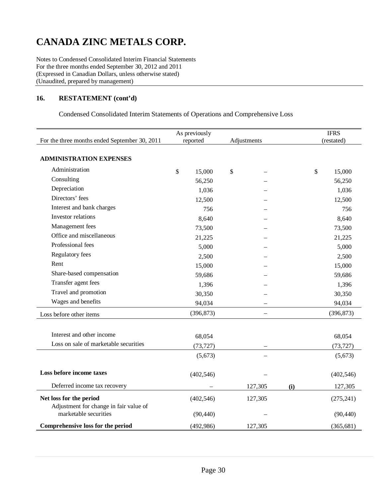Notes to Condensed Consolidated Interim Financial Statements For the three months ended September 30, 2012 and 2011 (Expressed in Canadian Dollars, unless otherwise stated) (Unaudited, prepared by management)

### **16. RESTATEMENT (cont'd)**

Condensed Consolidated Interim Statements of Operations and Comprehensive Loss

|                                               |          | As previously |                          |     |            | <b>IFRS</b> |
|-----------------------------------------------|----------|---------------|--------------------------|-----|------------|-------------|
| For the three months ended September 30, 2011 | reported |               | Adjustments              |     | (restated) |             |
|                                               |          |               |                          |     |            |             |
| <b>ADMINISTRATION EXPENSES</b>                |          |               |                          |     |            |             |
| Administration                                | \$       | 15,000        | \$                       |     | \$         | 15,000      |
| Consulting                                    |          | 56,250        |                          |     |            | 56,250      |
| Depreciation                                  |          | 1,036         |                          |     |            | 1,036       |
| Directors' fees                               |          | 12,500        |                          |     |            | 12,500      |
| Interest and bank charges                     |          | 756           |                          |     |            | 756         |
| Investor relations                            |          | 8,640         |                          |     |            | 8,640       |
| Management fees                               |          | 73,500        |                          |     |            | 73,500      |
| Office and miscellaneous                      |          | 21,225        |                          |     |            | 21,225      |
| Professional fees                             |          | 5,000         |                          |     |            | 5,000       |
| Regulatory fees                               |          | 2,500         |                          |     |            | 2,500       |
| Rent                                          |          | 15,000        |                          |     |            | 15,000      |
| Share-based compensation                      |          | 59,686        |                          |     |            | 59,686      |
| Transfer agent fees                           |          | 1,396         |                          |     |            | 1,396       |
| Travel and promotion                          |          | 30,350        |                          |     |            | 30,350      |
| Wages and benefits                            |          | 94,034        |                          |     |            | 94,034      |
| Loss before other items                       |          | (396, 873)    | $\overline{\phantom{0}}$ |     |            | (396, 873)  |
|                                               |          |               |                          |     |            |             |
| Interest and other income                     |          | 68,054        |                          |     |            | 68,054      |
| Loss on sale of marketable securities         |          | (73, 727)     |                          |     |            | (73, 727)   |
|                                               |          | (5,673)       |                          |     |            | (5,673)     |
|                                               |          |               |                          |     |            |             |
| Loss before income taxes                      |          | (402, 546)    |                          |     |            | (402, 546)  |
| Deferred income tax recovery                  |          |               | 127,305                  | (i) |            | 127,305     |
| Net loss for the period                       |          | (402, 546)    | 127,305                  |     |            | (275, 241)  |
| Adjustment for change in fair value of        |          |               |                          |     |            |             |
| marketable securities                         |          | (90, 440)     |                          |     |            | (90, 440)   |
| Comprehensive loss for the period             |          | (492, 986)    | 127,305                  |     |            | (365, 681)  |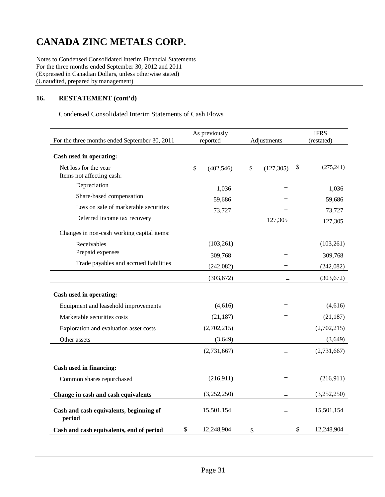Notes to Condensed Consolidated Interim Financial Statements For the three months ended September 30, 2012 and 2011 (Expressed in Canadian Dollars, unless otherwise stated) (Unaudited, prepared by management)

## **16. RESTATEMENT (cont'd)**

Condensed Consolidated Interim Statements of Cash Flows

|                                                   | As previously |             |                  |    | <b>IFRS</b> |
|---------------------------------------------------|---------------|-------------|------------------|----|-------------|
| For the three months ended September 30, 2011     |               | reported    | Adjustments      |    | (restated)  |
| Cash used in operating:                           |               |             |                  |    |             |
| Net loss for the year                             | $\mathcal{S}$ | (402, 546)  | \$<br>(127, 305) | \$ | (275, 241)  |
| Items not affecting cash:                         |               |             |                  |    |             |
| Depreciation                                      |               | 1,036       |                  |    | 1,036       |
| Share-based compensation                          |               | 59,686      |                  |    | 59,686      |
| Loss on sale of marketable securities             |               | 73,727      |                  |    | 73,727      |
| Deferred income tax recovery                      |               |             | 127,305          |    | 127,305     |
| Changes in non-cash working capital items:        |               |             |                  |    |             |
| Receivables                                       |               | (103, 261)  |                  |    | (103, 261)  |
| Prepaid expenses                                  |               | 309,768     |                  |    | 309,768     |
| Trade payables and accrued liabilities            |               | (242,082)   |                  |    | (242,082)   |
|                                                   |               | (303, 672)  |                  |    | (303, 672)  |
| Cash used in operating:                           |               |             |                  |    |             |
| Equipment and leasehold improvements              |               | (4,616)     |                  |    | (4,616)     |
| Marketable securities costs                       |               | (21, 187)   |                  |    | (21, 187)   |
| Exploration and evaluation asset costs            |               | (2,702,215) |                  |    | (2,702,215) |
| Other assets                                      |               | (3,649)     |                  |    | (3,649)     |
|                                                   |               | (2,731,667) |                  |    | (2,731,667) |
| Cash used in financing:                           |               |             |                  |    |             |
| Common shares repurchased                         |               | (216,911)   |                  |    | (216,911)   |
| Change in cash and cash equivalents               |               | (3,252,250) |                  |    | (3,252,250) |
| Cash and cash equivalents, beginning of<br>period |               | 15,501,154  |                  |    | 15,501,154  |
| Cash and cash equivalents, end of period          | \$            | 12,248,904  | \$               | \$ | 12,248,904  |